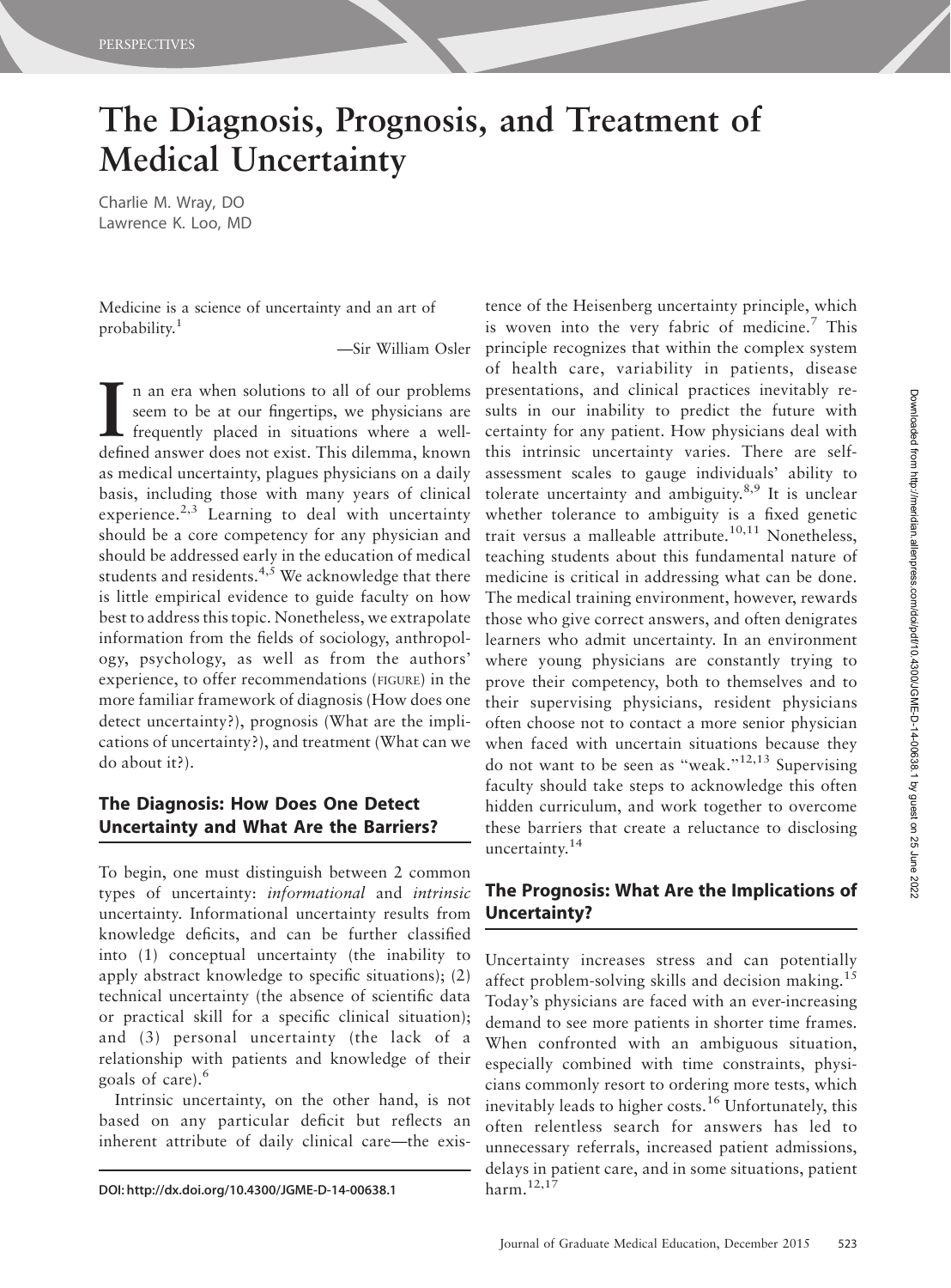# The Diagnosis, Prognosis, and Treatment of Medical Uncertainty

Charlie M. Wray, DO Lawrence K. Loo, MD

Medicine is a science of uncertainty and an art of probability.<sup>1</sup>

—Sir William Osler

I n an era when solutions to all of our problems<br>seem to be at our fingertips, we physicians are<br>frequently placed in situations where a well-<br>defined answer does not exist. This dilemma, known n an era when solutions to all of our problems seem to be at our fingertips, we physicians are frequently placed in situations where a wellas medical uncertainty, plagues physicians on a daily basis, including those with many years of clinical experience. $2,3$  Learning to deal with uncertainty should be a core competency for any physician and should be addressed early in the education of medical students and residents.<sup>4,5</sup> We acknowledge that there is little empirical evidence to guide faculty on how best to address this topic. Nonetheless, we extrapolate information from the fields of sociology, anthropology, psychology, as well as from the authors' experience, to offer recommendations (FIGURE) in the more familiar framework of diagnosis (How does one detect uncertainty?), prognosis (What are the implications of uncertainty?), and treatment (What can we do about it?).

## The Diagnosis: How Does One Detect Uncertainty and What Are the Barriers?

To begin, one must distinguish between 2 common types of uncertainty: informational and intrinsic uncertainty. Informational uncertainty results from knowledge deficits, and can be further classified into (1) conceptual uncertainty (the inability to apply abstract knowledge to specific situations); (2) technical uncertainty (the absence of scientific data or practical skill for a specific clinical situation); and (3) personal uncertainty (the lack of a relationship with patients and knowledge of their goals of care).<sup>6</sup>

Intrinsic uncertainty, on the other hand, is not based on any particular deficit but reflects an inherent attribute of daily clinical care—the exis-

harm.12,17 DOI: http://dx.doi.org/10.4300/JGME-D-14-00638.1

tence of the Heisenberg uncertainty principle, which is woven into the very fabric of medicine.<sup>7</sup> This principle recognizes that within the complex system of health care, variability in patients, disease presentations, and clinical practices inevitably results in our inability to predict the future with certainty for any patient. How physicians deal with this intrinsic uncertainty varies. There are selfassessment scales to gauge individuals' ability to tolerate uncertainty and ambiguity.<sup>8,9</sup> It is unclear whether tolerance to ambiguity is a fixed genetic trait versus a malleable attribute.<sup>10,11</sup> Nonetheless, teaching students about this fundamental nature of medicine is critical in addressing what can be done. The medical training environment, however, rewards those who give correct answers, and often denigrates learners who admit uncertainty. In an environment where young physicians are constantly trying to prove their competency, both to themselves and to their supervising physicians, resident physicians often choose not to contact a more senior physician when faced with uncertain situations because they do not want to be seen as "weak." $12,13$  Supervising faculty should take steps to acknowledge this often hidden curriculum, and work together to overcome these barriers that create a reluctance to disclosing uncertainty.<sup>14</sup>

## The Prognosis: What Are the Implications of Uncertainty?

Uncertainty increases stress and can potentially affect problem-solving skills and decision making.<sup>15</sup> Today's physicians are faced with an ever-increasing demand to see more patients in shorter time frames. When confronted with an ambiguous situation, especially combined with time constraints, physicians commonly resort to ordering more tests, which inevitably leads to higher costs.<sup>16</sup> Unfortunately, this often relentless search for answers has led to unnecessary referrals, increased patient admissions, delays in patient care, and in some situations, patient harm.  $^{12,17}\,$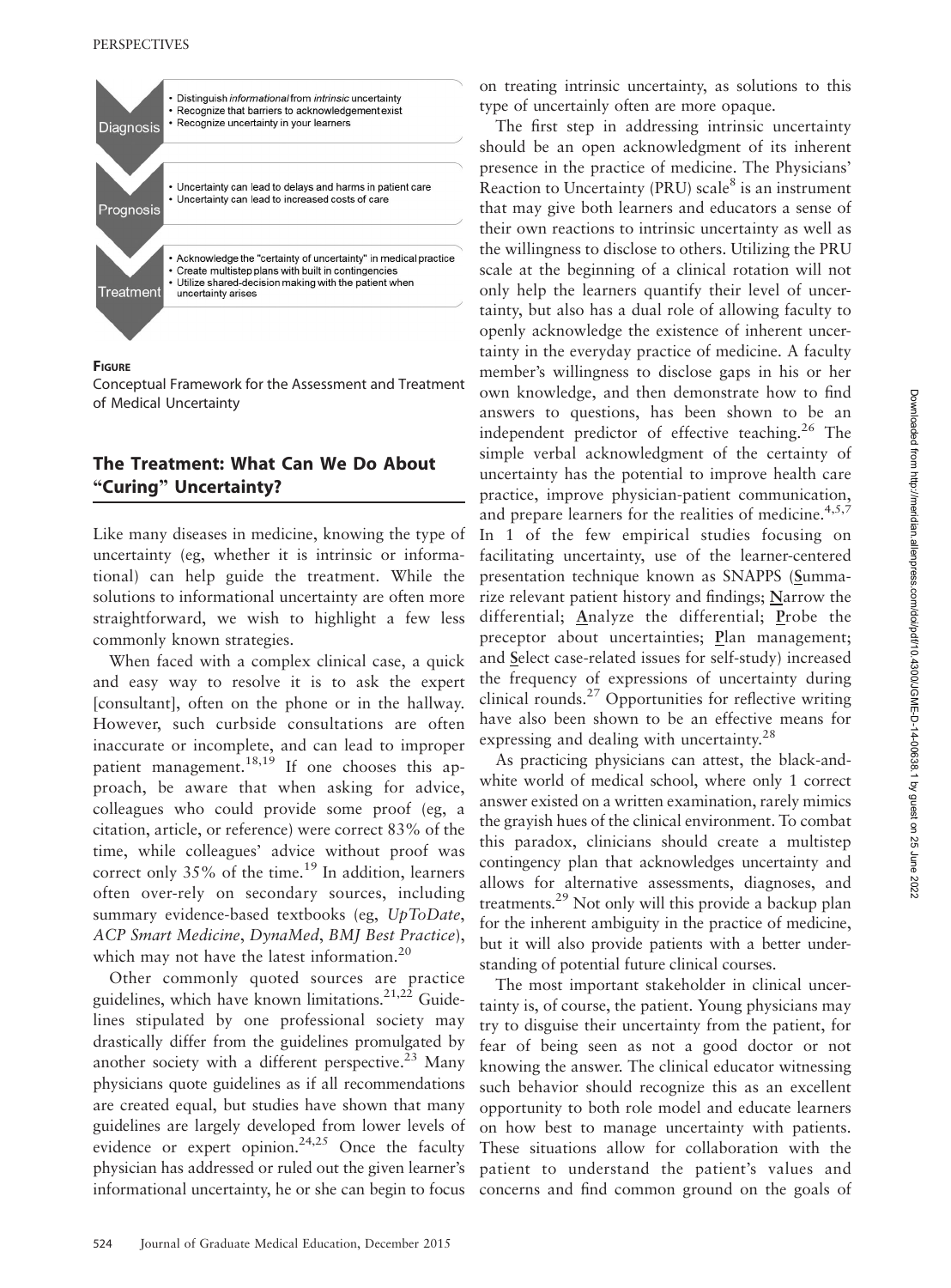

#### **FIGURE**

Conceptual Framework for the Assessment and Treatment of Medical Uncertainty

## The Treatment: What Can We Do About "Curing" Uncertainty?

Like many diseases in medicine, knowing the type of uncertainty (eg, whether it is intrinsic or informational) can help guide the treatment. While the solutions to informational uncertainty are often more straightforward, we wish to highlight a few less commonly known strategies.

When faced with a complex clinical case, a quick and easy way to resolve it is to ask the expert [consultant], often on the phone or in the hallway. However, such curbside consultations are often inaccurate or incomplete, and can lead to improper patient management.<sup>18,19</sup> If one chooses this approach, be aware that when asking for advice, colleagues who could provide some proof (eg, a citation, article, or reference) were correct 83% of the time, while colleagues' advice without proof was correct only  $35\%$  of the time.<sup>19</sup> In addition, learners often over-rely on secondary sources, including summary evidence-based textbooks (eg, UpToDate, ACP Smart Medicine, DynaMed, BMJ Best Practice), which may not have the latest information.<sup>20</sup>

Other commonly quoted sources are practice guidelines, which have known limitations. $2^{1,22}$  Guidelines stipulated by one professional society may drastically differ from the guidelines promulgated by another society with a different perspective. $23$  Many physicians quote guidelines as if all recommendations are created equal, but studies have shown that many guidelines are largely developed from lower levels of evidence or expert opinion.<sup>24,25</sup> Once the faculty physician has addressed or ruled out the given learner's informational uncertainty, he or she can begin to focus

on treating intrinsic uncertainty, as solutions to this type of uncertainly often are more opaque.

The first step in addressing intrinsic uncertainty should be an open acknowledgment of its inherent presence in the practice of medicine. The Physicians' Reaction to Uncertainty (PRU) scale $\delta$  is an instrument that may give both learners and educators a sense of their own reactions to intrinsic uncertainty as well as the willingness to disclose to others. Utilizing the PRU scale at the beginning of a clinical rotation will not only help the learners quantify their level of uncertainty, but also has a dual role of allowing faculty to openly acknowledge the existence of inherent uncertainty in the everyday practice of medicine. A faculty member's willingness to disclose gaps in his or her own knowledge, and then demonstrate how to find answers to questions, has been shown to be an independent predictor of effective teaching.<sup>26</sup> The simple verbal acknowledgment of the certainty of uncertainty has the potential to improve health care practice, improve physician-patient communication, and prepare learners for the realities of medicine.<sup>4,5,7</sup> In 1 of the few empirical studies focusing on facilitating uncertainty, use of the learner-centered presentation technique known as SNAPPS (Summarize relevant patient history and findings; Narrow the differential; Analyze the differential; Probe the preceptor about uncertainties; Plan management; and Select case-related issues for self-study) increased the frequency of expressions of uncertainty during clinical rounds. $^{27}$  Opportunities for reflective writing have also been shown to be an effective means for expressing and dealing with uncertainty.<sup>28</sup>

As practicing physicians can attest, the black-andwhite world of medical school, where only 1 correct answer existed on a written examination, rarely mimics the grayish hues of the clinical environment. To combat this paradox, clinicians should create a multistep contingency plan that acknowledges uncertainty and allows for alternative assessments, diagnoses, and treatments.<sup>29</sup> Not only will this provide a backup plan for the inherent ambiguity in the practice of medicine, but it will also provide patients with a better understanding of potential future clinical courses.

The most important stakeholder in clinical uncertainty is, of course, the patient. Young physicians may try to disguise their uncertainty from the patient, for fear of being seen as not a good doctor or not knowing the answer. The clinical educator witnessing such behavior should recognize this as an excellent opportunity to both role model and educate learners on how best to manage uncertainty with patients. These situations allow for collaboration with the patient to understand the patient's values and concerns and find common ground on the goals of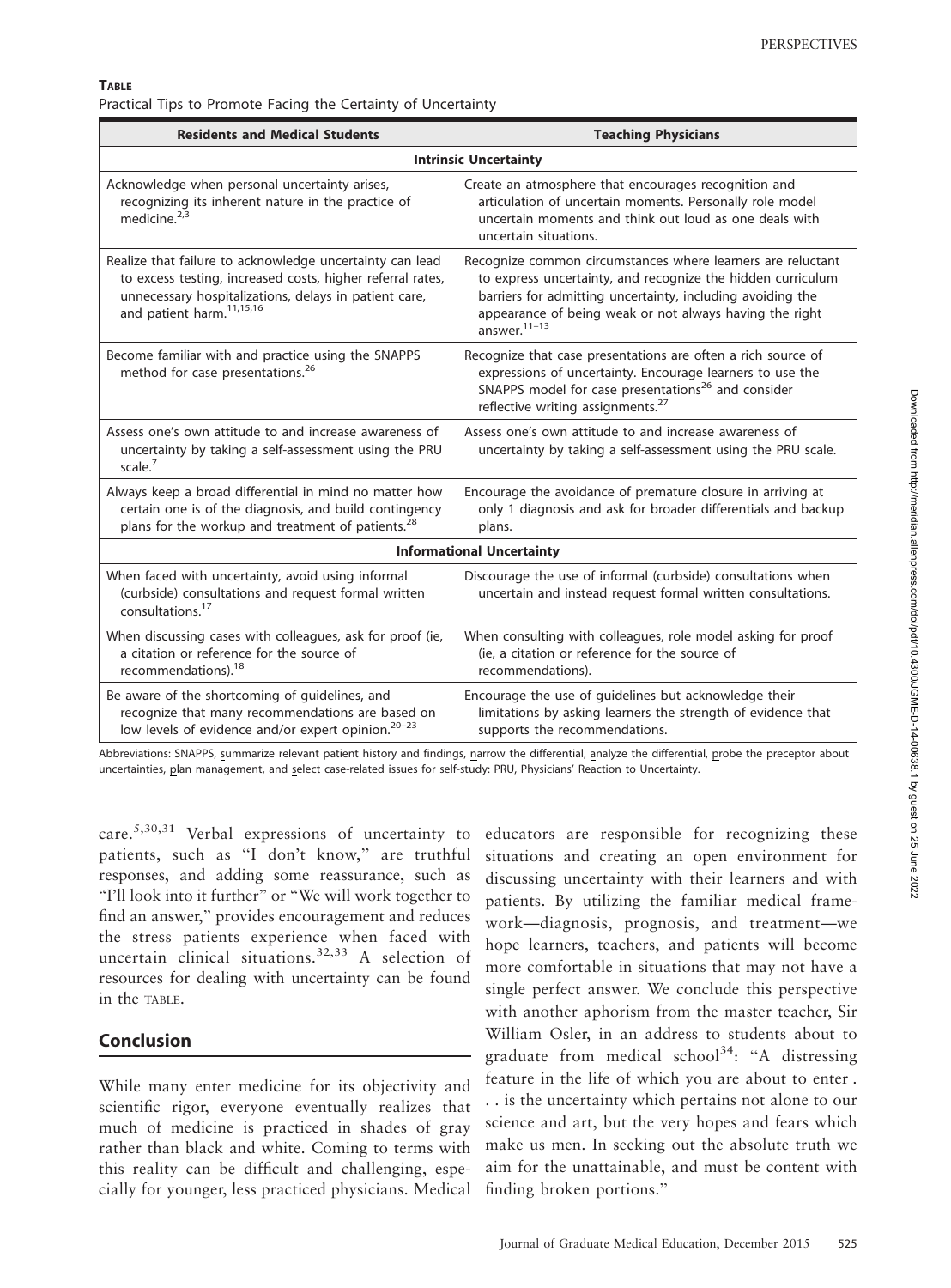#### **TABLE** Practical Tips to Promote Facing the Certainty of Uncertainty

| <b>Residents and Medical Students</b>                                                                                                                                                                                    | <b>Teaching Physicians</b>                                                                                                                                                                                                                                             |
|--------------------------------------------------------------------------------------------------------------------------------------------------------------------------------------------------------------------------|------------------------------------------------------------------------------------------------------------------------------------------------------------------------------------------------------------------------------------------------------------------------|
| <b>Intrinsic Uncertainty</b>                                                                                                                                                                                             |                                                                                                                                                                                                                                                                        |
| Acknowledge when personal uncertainty arises,<br>recognizing its inherent nature in the practice of<br>medicine. $2,3$                                                                                                   | Create an atmosphere that encourages recognition and<br>articulation of uncertain moments. Personally role model<br>uncertain moments and think out loud as one deals with<br>uncertain situations.                                                                    |
| Realize that failure to acknowledge uncertainty can lead<br>to excess testing, increased costs, higher referral rates,<br>unnecessary hospitalizations, delays in patient care,<br>and patient harm. <sup>11,15,16</sup> | Recognize common circumstances where learners are reluctant<br>to express uncertainty, and recognize the hidden curriculum<br>barriers for admitting uncertainty, including avoiding the<br>appearance of being weak or not always having the right<br>answer. $11-13$ |
| Become familiar with and practice using the SNAPPS<br>method for case presentations. <sup>26</sup>                                                                                                                       | Recognize that case presentations are often a rich source of<br>expressions of uncertainty. Encourage learners to use the<br>SNAPPS model for case presentations <sup>26</sup> and consider<br>reflective writing assignments. <sup>27</sup>                           |
| Assess one's own attitude to and increase awareness of<br>uncertainty by taking a self-assessment using the PRU<br>scale <sup>7</sup>                                                                                    | Assess one's own attitude to and increase awareness of<br>uncertainty by taking a self-assessment using the PRU scale.                                                                                                                                                 |
| Always keep a broad differential in mind no matter how<br>certain one is of the diagnosis, and build contingency<br>plans for the workup and treatment of patients. <sup>28</sup>                                        | Encourage the avoidance of premature closure in arriving at<br>only 1 diagnosis and ask for broader differentials and backup<br>plans.                                                                                                                                 |
| <b>Informational Uncertainty</b>                                                                                                                                                                                         |                                                                                                                                                                                                                                                                        |
| When faced with uncertainty, avoid using informal<br>(curbside) consultations and request formal written<br>consultations. <sup>17</sup>                                                                                 | Discourage the use of informal (curbside) consultations when<br>uncertain and instead request formal written consultations.                                                                                                                                            |
| When discussing cases with colleagues, ask for proof (ie,<br>a citation or reference for the source of<br>recommendations). <sup>18</sup>                                                                                | When consulting with colleagues, role model asking for proof<br>(ie, a citation or reference for the source of<br>recommendations).                                                                                                                                    |
| Be aware of the shortcoming of guidelines, and<br>recognize that many recommendations are based on<br>low levels of evidence and/or expert opinion. <sup>20-23</sup>                                                     | Encourage the use of guidelines but acknowledge their<br>limitations by asking learners the strength of evidence that<br>supports the recommendations.                                                                                                                 |

Abbreviations: SNAPPS, summarize relevant patient history and findings, narrow the differential, analyze the differential, probe the preceptor about uncertainties, plan management, and select case-related issues for self-study: PRU, Physicians' Reaction to Uncertainty.

care.5,30,31 Verbal expressions of uncertainty to patients, such as "I don't know," are truthful responses, and adding some reassurance, such as ''I'll look into it further'' or ''We will work together to find an answer,'' provides encouragement and reduces the stress patients experience when faced with uncertain clinical situations.32,33 A selection of resources for dealing with uncertainty can be found in the TABLE.

## Conclusion

While many enter medicine for its objectivity and scientific rigor, everyone eventually realizes that much of medicine is practiced in shades of gray rather than black and white. Coming to terms with this reality can be difficult and challenging, especially for younger, less practiced physicians. Medical

educators are responsible for recognizing these situations and creating an open environment for discussing uncertainty with their learners and with patients. By utilizing the familiar medical framework—diagnosis, prognosis, and treatment—we hope learners, teachers, and patients will become more comfortable in situations that may not have a single perfect answer. We conclude this perspective with another aphorism from the master teacher, Sir William Osler, in an address to students about to graduate from medical school<sup>34</sup>: "A distressing feature in the life of which you are about to enter . . . is the uncertainty which pertains not alone to our science and art, but the very hopes and fears which make us men. In seeking out the absolute truth we aim for the unattainable, and must be content with finding broken portions.''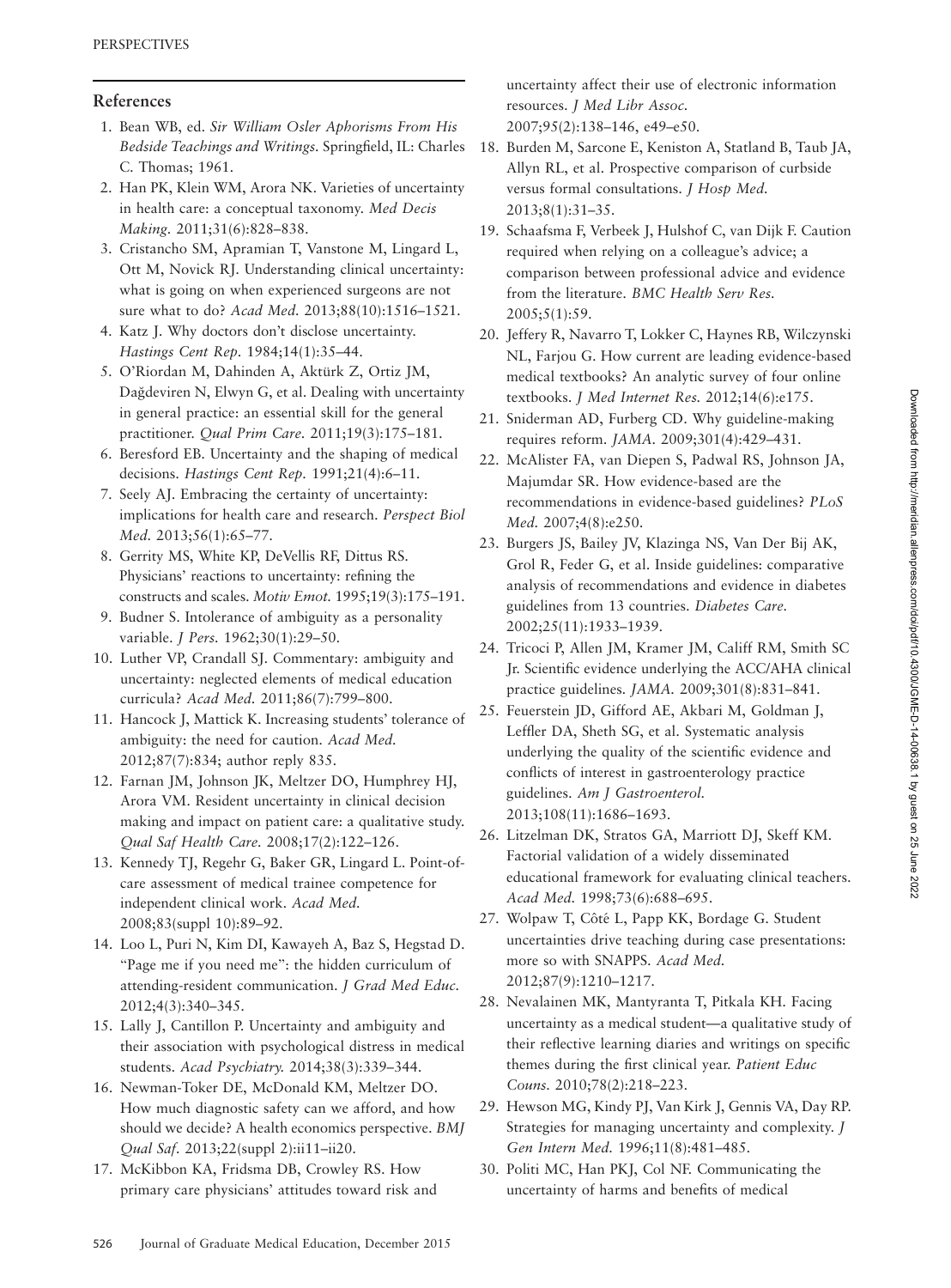#### References

- 1. Bean WB, ed. Sir William Osler Aphorisms From His Bedside Teachings and Writings. Springfield, IL: Charles C. Thomas; 1961.
- 2. Han PK, Klein WM, Arora NK. Varieties of uncertainty in health care: a conceptual taxonomy. Med Decis Making. 2011;31(6):828–838.
- 3. Cristancho SM, Apramian T, Vanstone M, Lingard L, Ott M, Novick RJ. Understanding clinical uncertainty: what is going on when experienced surgeons are not sure what to do? Acad Med. 2013;88(10):1516-1521.
- 4. Katz J. Why doctors don't disclose uncertainty. Hastings Cent Rep. 1984;14(1):35–44.
- 5. O'Riordan M, Dahinden A, Aktürk Z, Ortiz JM, Dağdeviren N, Elwyn G, et al. Dealing with uncertainty in general practice: an essential skill for the general practitioner. Qual Prim Care. 2011;19(3):175–181.
- 6. Beresford EB. Uncertainty and the shaping of medical decisions. Hastings Cent Rep. 1991;21(4):6–11.
- 7. Seely AJ. Embracing the certainty of uncertainty: implications for health care and research. Perspect Biol Med. 2013;56(1):65–77.
- 8. Gerrity MS, White KP, DeVellis RF, Dittus RS. Physicians' reactions to uncertainty: refining the constructs and scales. Motiv Emot. 1995;19(3):175–191.
- 9. Budner S. Intolerance of ambiguity as a personality variable. *J Pers.* 1962;30(1):29-50.
- 10. Luther VP, Crandall SJ. Commentary: ambiguity and uncertainty: neglected elements of medical education curricula? Acad Med. 2011;86(7):799–800.
- 11. Hancock J, Mattick K. Increasing students' tolerance of ambiguity: the need for caution. Acad Med. 2012;87(7):834; author reply 835.
- 12. Farnan JM, Johnson JK, Meltzer DO, Humphrey HJ, Arora VM. Resident uncertainty in clinical decision making and impact on patient care: a qualitative study. Qual Saf Health Care. 2008;17(2):122–126.
- 13. Kennedy TJ, Regehr G, Baker GR, Lingard L. Point-ofcare assessment of medical trainee competence for independent clinical work. Acad Med. 2008;83(suppl 10):89–92.
- 14. Loo L, Puri N, Kim DI, Kawayeh A, Baz S, Hegstad D. "Page me if you need me": the hidden curriculum of attending-resident communication. J Grad Med Educ. 2012;4(3):340–345.
- 15. Lally J, Cantillon P. Uncertainty and ambiguity and their association with psychological distress in medical students. Acad Psychiatry. 2014;38(3):339–344.
- 16. Newman-Toker DE, McDonald KM, Meltzer DO. How much diagnostic safety can we afford, and how should we decide? A health economics perspective. BMJ Qual Saf. 2013;22(suppl 2):ii11–ii20.
- 17. McKibbon KA, Fridsma DB, Crowley RS. How primary care physicians' attitudes toward risk and

uncertainty affect their use of electronic information resources. J Med Libr Assoc. 2007;95(2):138–146, e49–e50.

- 18. Burden M, Sarcone E, Keniston A, Statland B, Taub JA, Allyn RL, et al. Prospective comparison of curbside versus formal consultations. J Hosp Med. 2013;8(1):31–35.
- 19. Schaafsma F, Verbeek J, Hulshof C, van Dijk F. Caution required when relying on a colleague's advice; a comparison between professional advice and evidence from the literature. BMC Health Serv Res. 2005;5(1):59.
- 20. Jeffery R, Navarro T, Lokker C, Haynes RB, Wilczynski NL, Farjou G. How current are leading evidence-based medical textbooks? An analytic survey of four online textbooks. J Med Internet Res. 2012;14(6):e175.
- 21. Sniderman AD, Furberg CD. Why guideline-making requires reform. JAMA. 2009;301(4):429–431.
- 22. McAlister FA, van Diepen S, Padwal RS, Johnson JA, Majumdar SR. How evidence-based are the recommendations in evidence-based guidelines? PLoS Med. 2007;4(8):e250.
- 23. Burgers JS, Bailey JV, Klazinga NS, Van Der Bij AK, Grol R, Feder G, et al. Inside guidelines: comparative analysis of recommendations and evidence in diabetes guidelines from 13 countries. Diabetes Care. 2002;25(11):1933–1939.
- 24. Tricoci P, Allen JM, Kramer JM, Califf RM, Smith SC Jr. Scientific evidence underlying the ACC/AHA clinical practice guidelines. JAMA. 2009;301(8):831–841.
- 25. Feuerstein JD, Gifford AE, Akbari M, Goldman J, Leffler DA, Sheth SG, et al. Systematic analysis underlying the quality of the scientific evidence and conflicts of interest in gastroenterology practice guidelines. Am J Gastroenterol. 2013;108(11):1686–1693.
- 26. Litzelman DK, Stratos GA, Marriott DJ, Skeff KM. Factorial validation of a widely disseminated educational framework for evaluating clinical teachers. Acad Med. 1998;73(6):688–695.
- 27. Wolpaw T, Côté L, Papp KK, Bordage G. Student uncertainties drive teaching during case presentations: more so with SNAPPS. Acad Med. 2012;87(9):1210–1217.
- 28. Nevalainen MK, Mantyranta T, Pitkala KH. Facing uncertainty as a medical student—a qualitative study of their reflective learning diaries and writings on specific themes during the first clinical year. Patient Educ Couns. 2010;78(2):218–223.
- 29. Hewson MG, Kindy PJ, Van Kirk J, Gennis VA, Day RP. Strategies for managing uncertainty and complexity. J Gen Intern Med. 1996;11(8):481–485.
- 30. Politi MC, Han PKJ, Col NF. Communicating the uncertainty of harms and benefits of medical